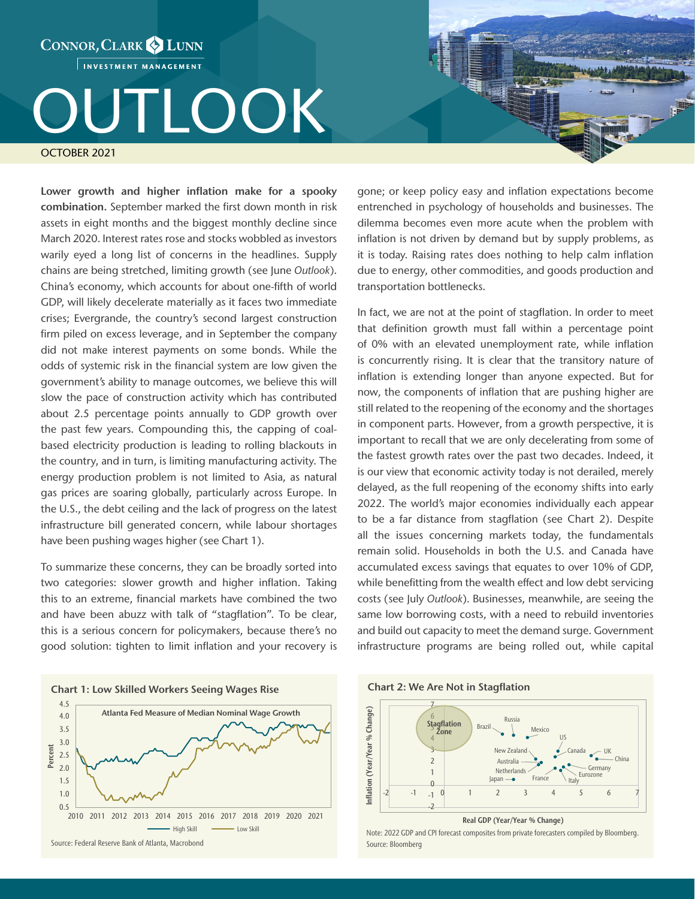CONNOR, CLARK & LUNN INVESTMENT MANAGEMENT

## TLOOK OCTOBER 2021

Lower growth and higher inflation make for a spooky combination. September marked the first down month in risk assets in eight months and the biggest monthly decline since March 2020. Interest rates rose and stocks wobbled as investors warily eyed a long list of concerns in the headlines. Supply chains are being stretched, limiting growth (see June *Outlook*). China's economy, which accounts for about one-fifth of world GDP, will likely decelerate materially as it faces two immediate crises; Evergrande, the country's second largest construction firm piled on excess leverage, and in September the company did not make interest payments on some bonds. While the odds of systemic risk in the financial system are low given the government's ability to manage outcomes, we believe this will slow the pace of construction activity which has contributed about 2.5 percentage points annually to GDP growth over the past few years. Compounding this, the capping of coalbased electricity production is leading to rolling blackouts in the country, and in turn, is limiting manufacturing activity. The energy production problem is not limited to Asia, as natural gas prices are soaring globally, particularly across Europe. In the U.S., the debt ceiling and the lack of progress on the latest infrastructure bill generated concern, while labour shortages have been pushing wages higher (see Chart 1).

To summarize these concerns, they can be broadly sorted into two categories: slower growth and higher inflation. Taking this to an extreme, financial markets have combined the two and have been abuzz with talk of "stagflation". To be clear, this is a serious concern for policymakers, because there's no good solution: tighten to limit inflation and your recovery is



gone; or keep policy easy and inflation expectations become entrenched in psychology of households and businesses. The dilemma becomes even more acute when the problem with inflation is not driven by demand but by supply problems, as it is today. Raising rates does nothing to help calm inflation due to energy, other commodities, and goods production and transportation bottlenecks.

In fact, we are not at the point of stagflation. In order to meet that definition growth must fall within a percentage point of 0% with an elevated unemployment rate, while inflation is concurrently rising. It is clear that the transitory nature of inflation is extending longer than anyone expected. But for now, the components of inflation that are pushing higher are still related to the reopening of the economy and the shortages in component parts. However, from a growth perspective, it is important to recall that we are only decelerating from some of the fastest growth rates over the past two decades. Indeed, it is our view that economic activity today is not derailed, merely delayed, as the full reopening of the economy shifts into early 2022. The world's major economies individually each appear to be a far distance from stagflation (see Chart 2). Despite all the issues concerning markets today, the fundamentals remain solid. Households in both the U.S. and Canada have accumulated excess savings that equates to over 10% of GDP, while benefitting from the wealth effect and low debt servicing costs (see July *Outlook*). Businesses, meanwhile, are seeing the same low borrowing costs, with a need to rebuild inventories and build out capacity to meet the demand surge. Government infrastructure programs are being rolled out, while capital





Real GDP (Year/Year % Change)

Source: Bloomberg